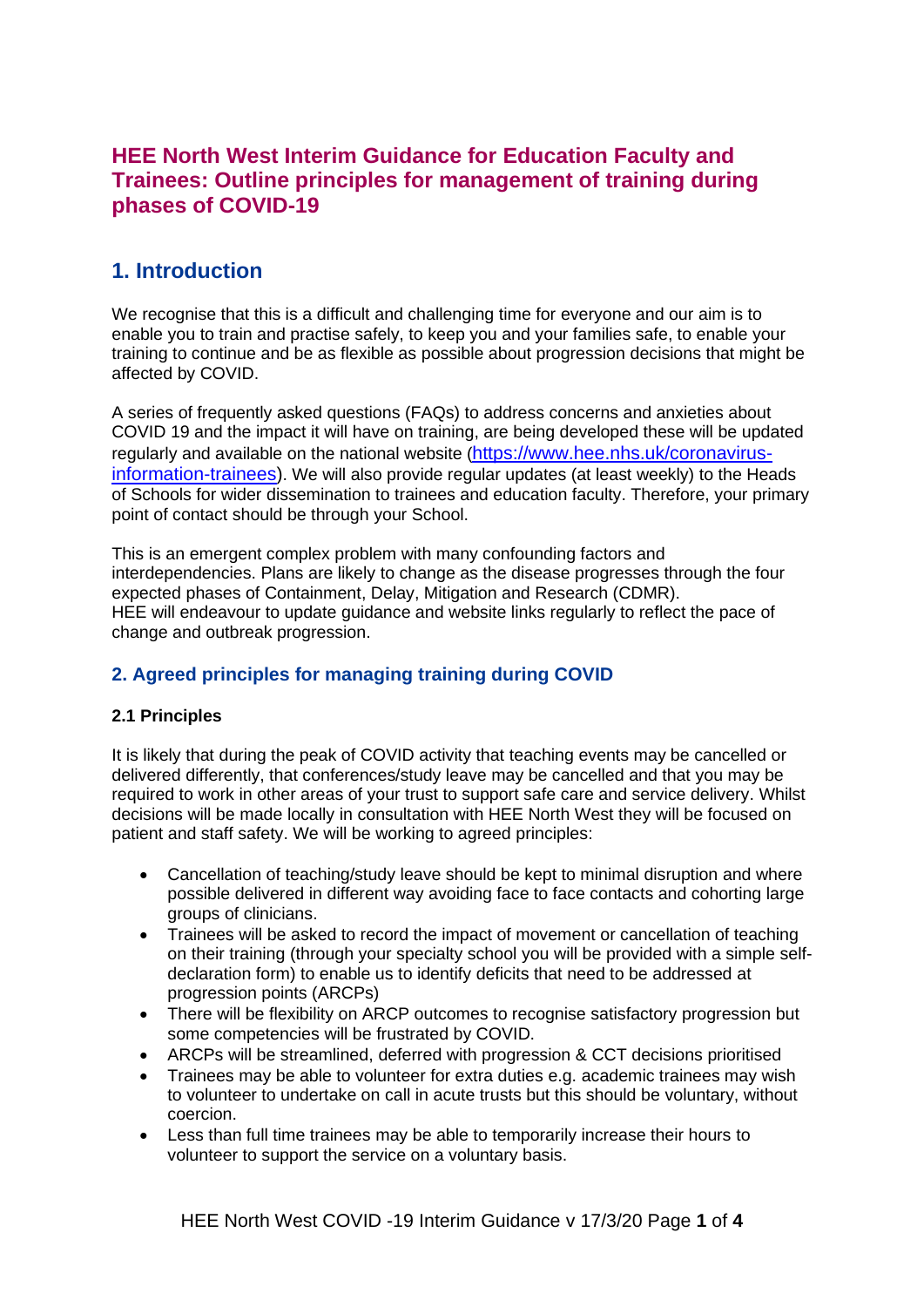## **HEE North West Interim Guidance for Education Faculty and Trainees: Outline principles for management of training during phases of COVID-19**

# **1. Introduction**

We recognise that this is a difficult and challenging time for everyone and our aim is to enable you to train and practise safely, to keep you and your families safe, to enable your training to continue and be as flexible as possible about progression decisions that might be affected by COVID.

A series of frequently asked questions (FAQs) to address concerns and anxieties about COVID 19 and the impact it will have on training, are being developed these will be updated regularly and available on the national website ([https://www.hee.nhs.uk/coronavirus](https://www.hee.nhs.uk/coronavirus-information-trainees)[information-trainees\)](https://www.hee.nhs.uk/coronavirus-information-trainees). We will also provide regular updates (at least weekly) to the Heads of Schools for wider dissemination to trainees and education faculty. Therefore, your primary point of contact should be through your School.

This is an emergent complex problem with many confounding factors and interdependencies. Plans are likely to change as the disease progresses through the four expected phases of Containment, Delay, Mitigation and Research (CDMR). HEE will endeavour to update guidance and website links regularly to reflect the pace of change and outbreak progression.

## **2. Agreed principles for managing training during COVID**

### **2.1 Principles**

It is likely that during the peak of COVID activity that teaching events may be cancelled or delivered differently, that conferences/study leave may be cancelled and that you may be required to work in other areas of your trust to support safe care and service delivery. Whilst decisions will be made locally in consultation with HEE North West they will be focused on patient and staff safety. We will be working to agreed principles:

- Cancellation of teaching/study leave should be kept to minimal disruption and where possible delivered in different way avoiding face to face contacts and cohorting large groups of clinicians.
- Trainees will be asked to record the impact of movement or cancellation of teaching on their training (through your specialty school you will be provided with a simple selfdeclaration form) to enable us to identify deficits that need to be addressed at progression points (ARCPs)
- There will be flexibility on ARCP outcomes to recognise satisfactory progression but some competencies will be frustrated by COVID.
- ARCPs will be streamlined, deferred with progression & CCT decisions prioritised
- Trainees may be able to volunteer for extra duties e.g. academic trainees may wish to volunteer to undertake on call in acute trusts but this should be voluntary, without coercion.
- Less than full time trainees may be able to temporarily increase their hours to volunteer to support the service on a voluntary basis.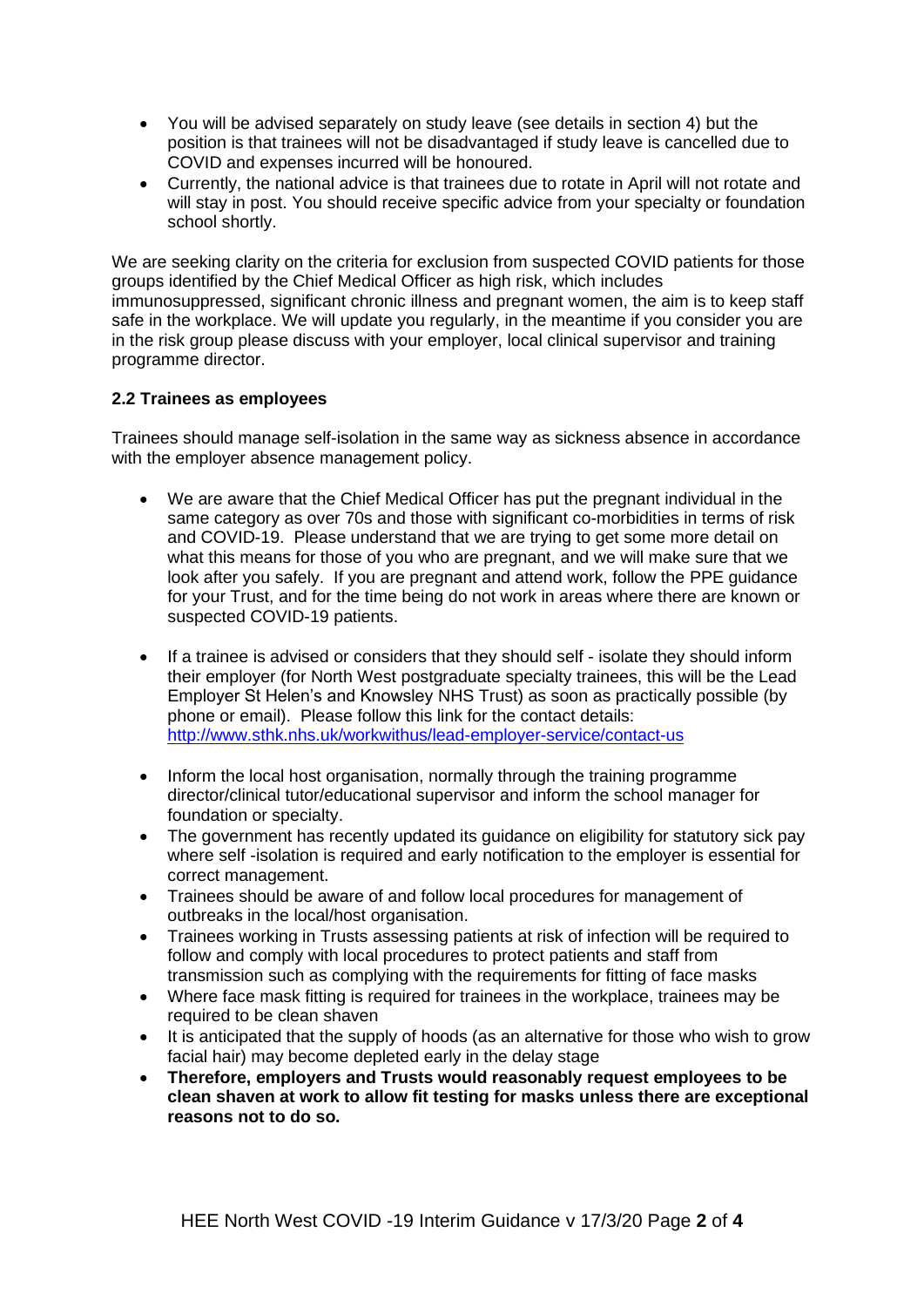- You will be advised separately on study leave (see details in section 4) but the position is that trainees will not be disadvantaged if study leave is cancelled due to COVID and expenses incurred will be honoured.
- Currently, the national advice is that trainees due to rotate in April will not rotate and will stay in post. You should receive specific advice from your specialty or foundation school shortly.

We are seeking clarity on the criteria for exclusion from suspected COVID patients for those groups identified by the Chief Medical Officer as high risk, which includes immunosuppressed, significant chronic illness and pregnant women, the aim is to keep staff safe in the workplace. We will update you regularly, in the meantime if you consider you are in the risk group please discuss with your employer, local clinical supervisor and training programme director.

#### **2.2 Trainees as employees**

Trainees should manage self-isolation in the same way as sickness absence in accordance with the employer absence management policy.

- We are aware that the Chief Medical Officer has put the pregnant individual in the same category as over 70s and those with significant co-morbidities in terms of risk and COVID-19. Please understand that we are trying to get some more detail on what this means for those of you who are pregnant, and we will make sure that we look after you safely. If you are pregnant and attend work, follow the PPE guidance for your Trust, and for the time being do not work in areas where there are known or suspected COVID-19 patients.
- If a trainee is advised or considers that they should self isolate they should inform their employer (for North West postgraduate specialty trainees, this will be the Lead Employer St Helen's and Knowsley NHS Trust) as soon as practically possible (by phone or email). Please follow this link for the contact details: <http://www.sthk.nhs.uk/workwithus/lead-employer-service/contact-us>
- Inform the local host organisation, normally through the training programme director/clinical tutor/educational supervisor and inform the school manager for foundation or specialty.
- The government has recently updated its guidance on eligibility for statutory sick pay where self -isolation is required and early notification to the employer is essential for correct management.
- Trainees should be aware of and follow local procedures for management of outbreaks in the local/host organisation.
- Trainees working in Trusts assessing patients at risk of infection will be required to follow and comply with local procedures to protect patients and staff from transmission such as complying with the requirements for fitting of face masks
- Where face mask fitting is required for trainees in the workplace, trainees may be required to be clean shaven
- It is anticipated that the supply of hoods (as an alternative for those who wish to grow facial hair) may become depleted early in the delay stage
- **Therefore, employers and Trusts would reasonably request employees to be clean shaven at work to allow fit testing for masks unless there are exceptional reasons not to do so.**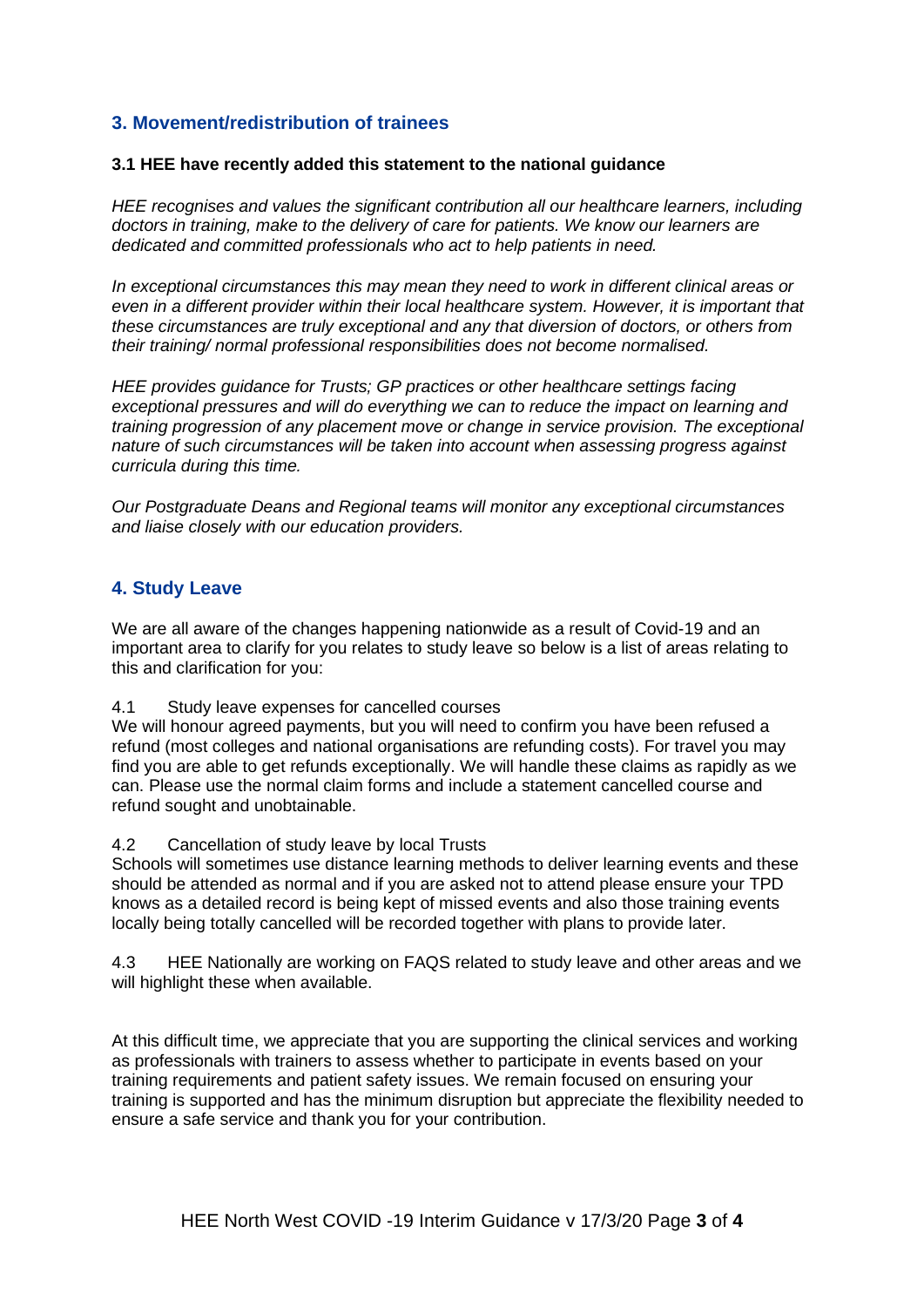### **3. Movement/redistribution of trainees**

#### **3.1 HEE have recently added this statement to the national guidance**

*HEE recognises and values the significant contribution all our healthcare learners, including doctors in training, make to the delivery of care for patients. We know our learners are dedicated and committed professionals who act to help patients in need.* 

*In exceptional circumstances this may mean they need to work in different clinical areas or even in a different provider within their local healthcare system. However, it is important that these circumstances are truly exceptional and any that diversion of doctors, or others from their training/ normal professional responsibilities does not become normalised.*

*HEE provides guidance for Trusts; GP practices or other healthcare settings facing exceptional pressures and will do everything we can to reduce the impact on learning and training progression of any placement move or change in service provision. The exceptional nature of such circumstances will be taken into account when assessing progress against curricula during this time.* 

*Our Postgraduate Deans and Regional teams will monitor any exceptional circumstances and liaise closely with our education providers.* 

#### **4. Study Leave**

We are all aware of the changes happening nationwide as a result of Covid-19 and an important area to clarify for you relates to study leave so below is a list of areas relating to this and clarification for you:

4.1 Study leave expenses for cancelled courses

We will honour agreed payments, but you will need to confirm you have been refused a refund (most colleges and national organisations are refunding costs). For travel you may find you are able to get refunds exceptionally. We will handle these claims as rapidly as we can. Please use the normal claim forms and include a statement cancelled course and refund sought and unobtainable.

4.2 Cancellation of study leave by local Trusts

Schools will sometimes use distance learning methods to deliver learning events and these should be attended as normal and if you are asked not to attend please ensure your TPD knows as a detailed record is being kept of missed events and also those training events locally being totally cancelled will be recorded together with plans to provide later.

4.3 HEE Nationally are working on FAQS related to study leave and other areas and we will highlight these when available.

At this difficult time, we appreciate that you are supporting the clinical services and working as professionals with trainers to assess whether to participate in events based on your training requirements and patient safety issues. We remain focused on ensuring your training is supported and has the minimum disruption but appreciate the flexibility needed to ensure a safe service and thank you for your contribution.